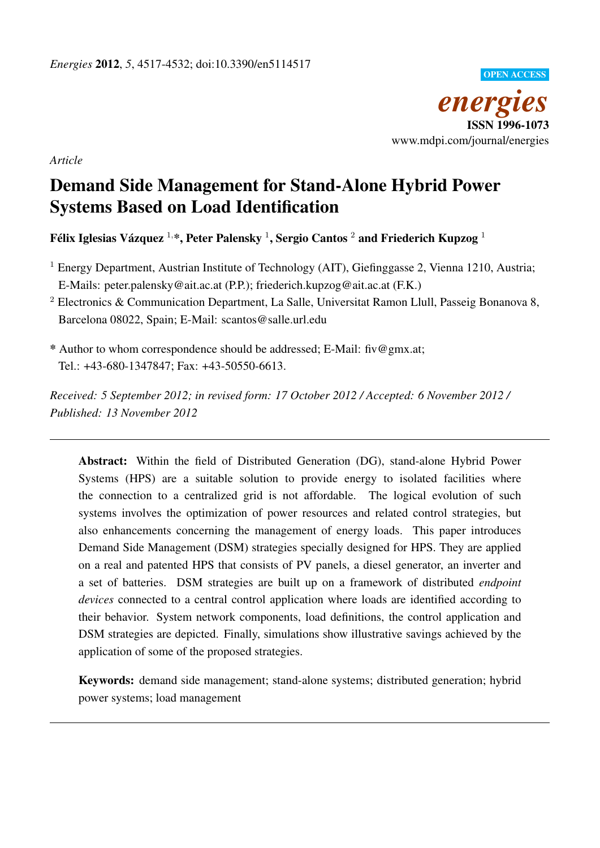

*Article*

# Demand Side Management for Stand-Alone Hybrid Power Systems Based on Load Identification

Félix Iglesias Vázquez  $^{1,\ast},$  Peter Palensky  $^{1},$  Sergio Cantos  $^{2}$  and Friederich Kupzog  $^{1}$ 

- <sup>1</sup> Energy Department, Austrian Institute of Technology (AIT), Giefinggasse 2, Vienna 1210, Austria; E-Mails: peter.palensky@ait.ac.at (P.P.); friederich.kupzog@ait.ac.at (F.K.)
- <sup>2</sup> Electronics & Communication Department, La Salle, Universitat Ramon Llull, Passeig Bonanova 8, Barcelona 08022, Spain; E-Mail: scantos@salle.url.edu
- \* Author to whom correspondence should be addressed; E-Mail: fiv@gmx.at; Tel.: +43-680-1347847; Fax: +43-50550-6613.

*Received: 5 September 2012; in revised form: 17 October 2012 / Accepted: 6 November 2012 / Published: 13 November 2012*

Abstract: Within the field of Distributed Generation (DG), stand-alone Hybrid Power Systems (HPS) are a suitable solution to provide energy to isolated facilities where the connection to a centralized grid is not affordable. The logical evolution of such systems involves the optimization of power resources and related control strategies, but also enhancements concerning the management of energy loads. This paper introduces Demand Side Management (DSM) strategies specially designed for HPS. They are applied on a real and patented HPS that consists of PV panels, a diesel generator, an inverter and a set of batteries. DSM strategies are built up on a framework of distributed *endpoint devices* connected to a central control application where loads are identified according to their behavior. System network components, load definitions, the control application and DSM strategies are depicted. Finally, simulations show illustrative savings achieved by the application of some of the proposed strategies.

Keywords: demand side management; stand-alone systems; distributed generation; hybrid power systems; load management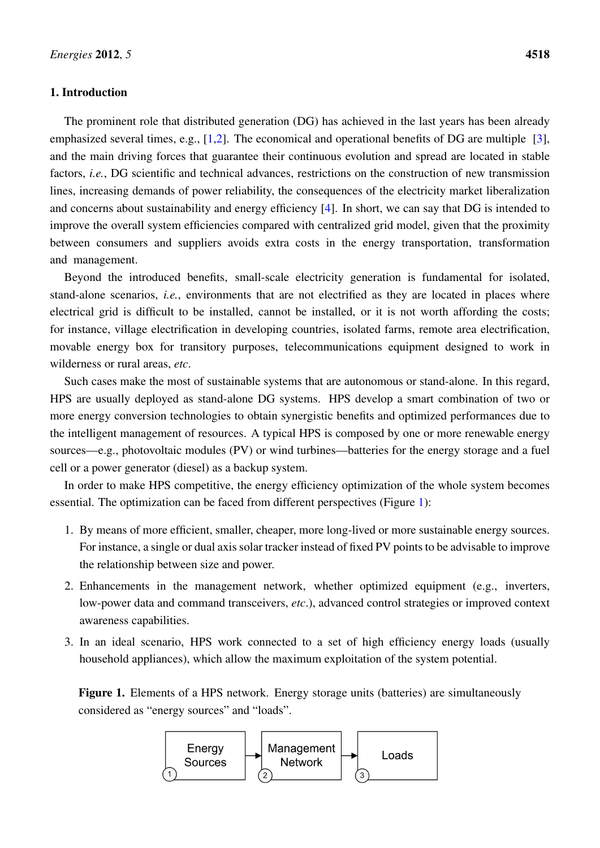## 1. Introduction

The prominent role that distributed generation (DG) has achieved in the last years has been already emphasized several times, e.g., [\[1,](#page-14-0)[2\]](#page-14-1). The economical and operational benefits of DG are multiple [\[3\]](#page-14-2), and the main driving forces that guarantee their continuous evolution and spread are located in stable factors, *i.e.*, DG scientific and technical advances, restrictions on the construction of new transmission lines, increasing demands of power reliability, the consequences of the electricity market liberalization and concerns about sustainability and energy efficiency [\[4\]](#page-14-3). In short, we can say that DG is intended to improve the overall system efficiencies compared with centralized grid model, given that the proximity between consumers and suppliers avoids extra costs in the energy transportation, transformation and management.

Beyond the introduced benefits, small-scale electricity generation is fundamental for isolated, stand-alone scenarios, *i.e.*, environments that are not electrified as they are located in places where electrical grid is difficult to be installed, cannot be installed, or it is not worth affording the costs; for instance, village electrification in developing countries, isolated farms, remote area electrification, movable energy box for transitory purposes, telecommunications equipment designed to work in wilderness or rural areas, *etc*.

Such cases make the most of sustainable systems that are autonomous or stand-alone. In this regard, HPS are usually deployed as stand-alone DG systems. HPS develop a smart combination of two or more energy conversion technologies to obtain synergistic benefits and optimized performances due to the intelligent management of resources. A typical HPS is composed by one or more renewable energy sources—e.g., photovoltaic modules (PV) or wind turbines—batteries for the energy storage and a fuel cell or a power generator (diesel) as a backup system.

In order to make HPS competitive, the energy efficiency optimization of the whole system becomes essential. The optimization can be faced from different perspectives (Figure [1\)](#page-1-0):

- 1. By means of more efficient, smaller, cheaper, more long-lived or more sustainable energy sources. For instance, a single or dual axis solar tracker instead of fixed PV points to be advisable to improve the relationship between size and power.
- 2. Enhancements in the management network, whether optimized equipment (e.g., inverters, low-power data and command transceivers, *etc*.), advanced control strategies or improved context awareness capabilities.
- 3. In an ideal scenario, HPS work connected to a set of high efficiency energy loads (usually household appliances), which allow the maximum exploitation of the system potential.

<span id="page-1-0"></span>Figure 1. Elements of a HPS network. Energy storage units (batteries) are simultaneously considered as "energy sources" and "loads".

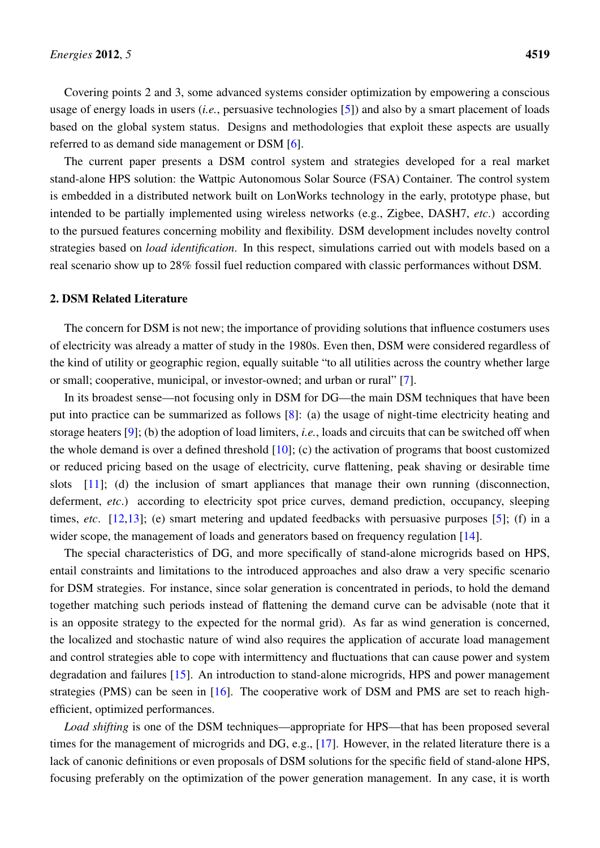Covering points 2 and 3, some advanced systems consider optimization by empowering a conscious usage of energy loads in users (*i.e.*, persuasive technologies [\[5\]](#page-14-4)) and also by a smart placement of loads based on the global system status. Designs and methodologies that exploit these aspects are usually referred to as demand side management or DSM [\[6\]](#page-14-5).

The current paper presents a DSM control system and strategies developed for a real market stand-alone HPS solution: the Wattpic Autonomous Solar Source (FSA) Container. The control system is embedded in a distributed network built on LonWorks technology in the early, prototype phase, but intended to be partially implemented using wireless networks (e.g., Zigbee, DASH7, *etc*.) according to the pursued features concerning mobility and flexibility. DSM development includes novelty control strategies based on *load identification*. In this respect, simulations carried out with models based on a real scenario show up to 28% fossil fuel reduction compared with classic performances without DSM.

#### 2. DSM Related Literature

The concern for DSM is not new; the importance of providing solutions that influence costumers uses of electricity was already a matter of study in the 1980s. Even then, DSM were considered regardless of the kind of utility or geographic region, equally suitable "to all utilities across the country whether large or small; cooperative, municipal, or investor-owned; and urban or rural" [\[7\]](#page-14-6).

In its broadest sense—not focusing only in DSM for DG—the main DSM techniques that have been put into practice can be summarized as follows [\[8\]](#page-14-7): (a) the usage of night-time electricity heating and storage heaters [\[9\]](#page-14-8); (b) the adoption of load limiters, *i.e.*, loads and circuits that can be switched off when the whole demand is over a defined threshold  $[10]$ ; (c) the activation of programs that boost customized or reduced pricing based on the usage of electricity, curve flattening, peak shaving or desirable time slots [\[11\]](#page-14-10); (d) the inclusion of smart appliances that manage their own running (disconnection, deferment, *etc.*) according to electricity spot price curves, demand prediction, occupancy, sleeping times, *etc*. [\[12,](#page-15-0)[13\]](#page-15-1); (e) smart metering and updated feedbacks with persuasive purposes [\[5\]](#page-14-4); (f) in a wider scope, the management of loads and generators based on frequency regulation [\[14\]](#page-15-2).

The special characteristics of DG, and more specifically of stand-alone microgrids based on HPS, entail constraints and limitations to the introduced approaches and also draw a very specific scenario for DSM strategies. For instance, since solar generation is concentrated in periods, to hold the demand together matching such periods instead of flattening the demand curve can be advisable (note that it is an opposite strategy to the expected for the normal grid). As far as wind generation is concerned, the localized and stochastic nature of wind also requires the application of accurate load management and control strategies able to cope with intermittency and fluctuations that can cause power and system degradation and failures [\[15\]](#page-15-3). An introduction to stand-alone microgrids, HPS and power management strategies (PMS) can be seen in [\[16\]](#page-15-4). The cooperative work of DSM and PMS are set to reach highefficient, optimized performances.

*Load shifting* is one of the DSM techniques—appropriate for HPS—that has been proposed several times for the management of microgrids and DG, e.g., [\[17\]](#page-15-5). However, in the related literature there is a lack of canonic definitions or even proposals of DSM solutions for the specific field of stand-alone HPS, focusing preferably on the optimization of the power generation management. In any case, it is worth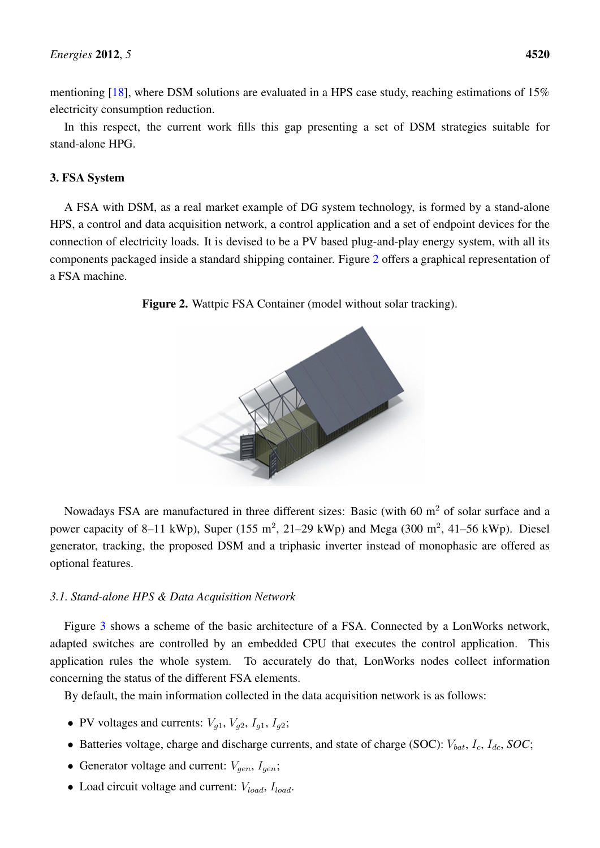mentioning  $[18]$ , where DSM solutions are evaluated in a HPS case study, reaching estimations of 15% electricity consumption reduction.

In this respect, the current work fills this gap presenting a set of DSM strategies suitable for stand-alone HPG.

# 3. FSA System

A FSA with DSM, as a real market example of DG system technology, is formed by a stand-alone HPS, a control and data acquisition network, a control application and a set of endpoint devices for the connection of electricity loads. It is devised to be a PV based plug-and-play energy system, with all its components packaged inside a standard shipping container. Figure [2](#page-3-0) offers a graphical representation of a FSA machine.

<span id="page-3-0"></span>



Nowadays FSA are manufactured in three different sizes: Basic (with  $60 \text{ m}^2$  of solar surface and a power capacity of 8–11 kWp), Super (155 m<sup>2</sup>, 21–29 kWp) and Mega (300 m<sup>2</sup>, 41–56 kWp). Diesel generator, tracking, the proposed DSM and a triphasic inverter instead of monophasic are offered as optional features.

# *3.1. Stand-alone HPS & Data Acquisition Network*

Figure [3](#page-4-0) shows a scheme of the basic architecture of a FSA. Connected by a LonWorks network, adapted switches are controlled by an embedded CPU that executes the control application. This application rules the whole system. To accurately do that, LonWorks nodes collect information concerning the status of the different FSA elements.

By default, the main information collected in the data acquisition network is as follows:

- PV voltages and currents:  $V_{q1}$ ,  $V_{q2}$ ,  $I_{q1}$ ,  $I_{q2}$ ;
- Batteries voltage, charge and discharge currents, and state of charge (SOC):  $V_{bat}$ ,  $I_c$ ,  $I_{dc}$ , *SOC*;
- Generator voltage and current:  $V_{gen}$ ,  $I_{gen}$ ;
- Load circuit voltage and current:  $V_{load}$ ,  $I_{load}$ .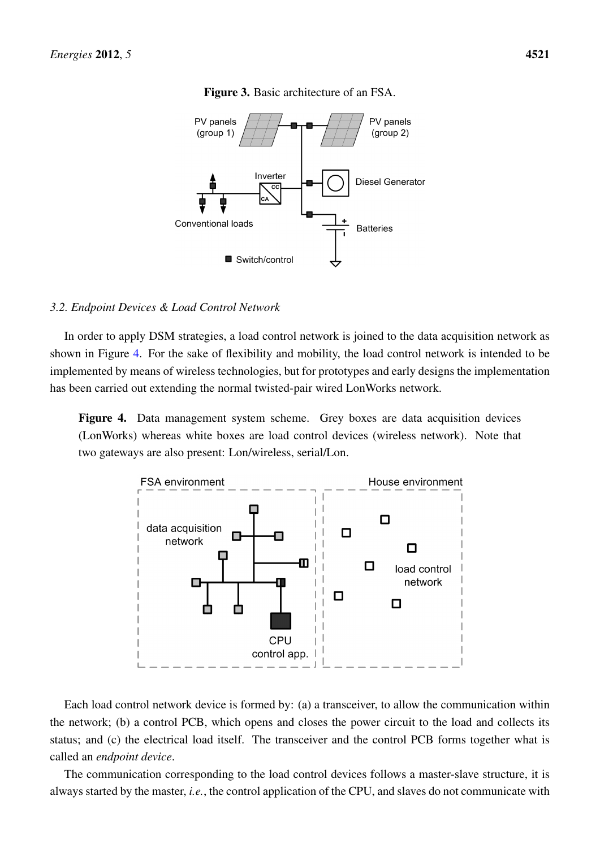<span id="page-4-0"></span>

#### Figure 3. Basic architecture of an FSA.

## *3.2. Endpoint Devices & Load Control Network*

In order to apply DSM strategies, a load control network is joined to the data acquisition network as shown in Figure [4.](#page-4-1) For the sake of flexibility and mobility, the load control network is intended to be implemented by means of wireless technologies, but for prototypes and early designs the implementation has been carried out extending the normal twisted-pair wired LonWorks network.

<span id="page-4-1"></span>Figure 4. Data management system scheme. Grey boxes are data acquisition devices (LonWorks) whereas white boxes are load control devices (wireless network). Note that two gateways are also present: Lon/wireless, serial/Lon.



Each load control network device is formed by: (a) a transceiver, to allow the communication within the network; (b) a control PCB, which opens and closes the power circuit to the load and collects its status; and (c) the electrical load itself. The transceiver and the control PCB forms together what is called an *endpoint device*.

The communication corresponding to the load control devices follows a master-slave structure, it is always started by the master, *i.e.*, the control application of the CPU, and slaves do not communicate with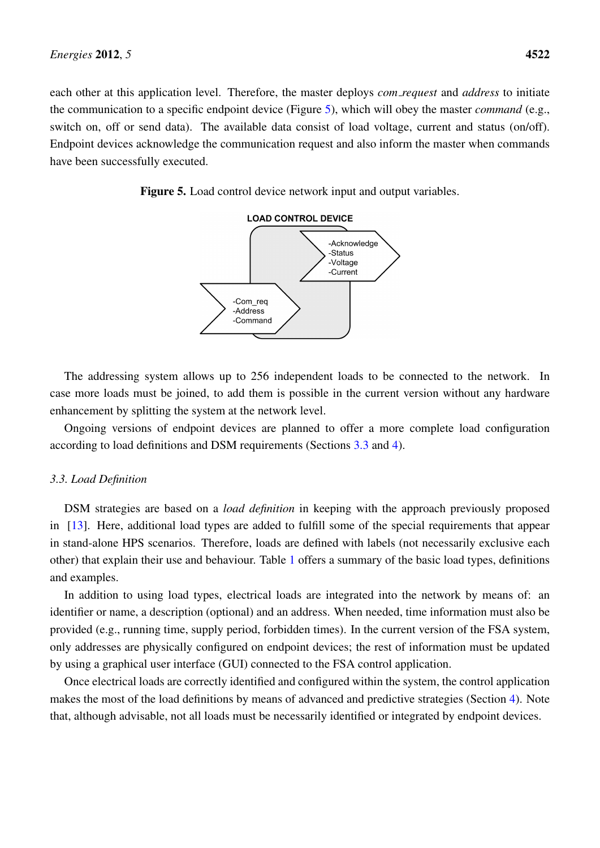<span id="page-5-0"></span>each other at this application level. Therefore, the master deploys *com request* and *address* to initiate the communication to a specific endpoint device (Figure [5\)](#page-5-0), which will obey the master *command* (e.g., switch on, off or send data). The available data consist of load voltage, current and status (on/off). Endpoint devices acknowledge the communication request and also inform the master when commands have been successfully executed.

Figure 5. Load control device network input and output variables.



The addressing system allows up to 256 independent loads to be connected to the network. In case more loads must be joined, to add them is possible in the current version without any hardware enhancement by splitting the system at the network level.

Ongoing versions of endpoint devices are planned to offer a more complete load configuration according to load definitions and DSM requirements (Sections [3.3](#page-5-1) and [4\)](#page-7-0).

## <span id="page-5-1"></span>*3.3. Load Definition*

DSM strategies are based on a *load definition* in keeping with the approach previously proposed in [\[13\]](#page-15-1). Here, additional load types are added to fulfill some of the special requirements that appear in stand-alone HPS scenarios. Therefore, loads are defined with labels (not necessarily exclusive each other) that explain their use and behaviour. Table [1](#page-6-0) offers a summary of the basic load types, definitions and examples.

In addition to using load types, electrical loads are integrated into the network by means of: an identifier or name, a description (optional) and an address. When needed, time information must also be provided (e.g., running time, supply period, forbidden times). In the current version of the FSA system, only addresses are physically configured on endpoint devices; the rest of information must be updated by using a graphical user interface (GUI) connected to the FSA control application.

Once electrical loads are correctly identified and configured within the system, the control application makes the most of the load definitions by means of advanced and predictive strategies (Section [4\)](#page-7-0). Note that, although advisable, not all loads must be necessarily identified or integrated by endpoint devices.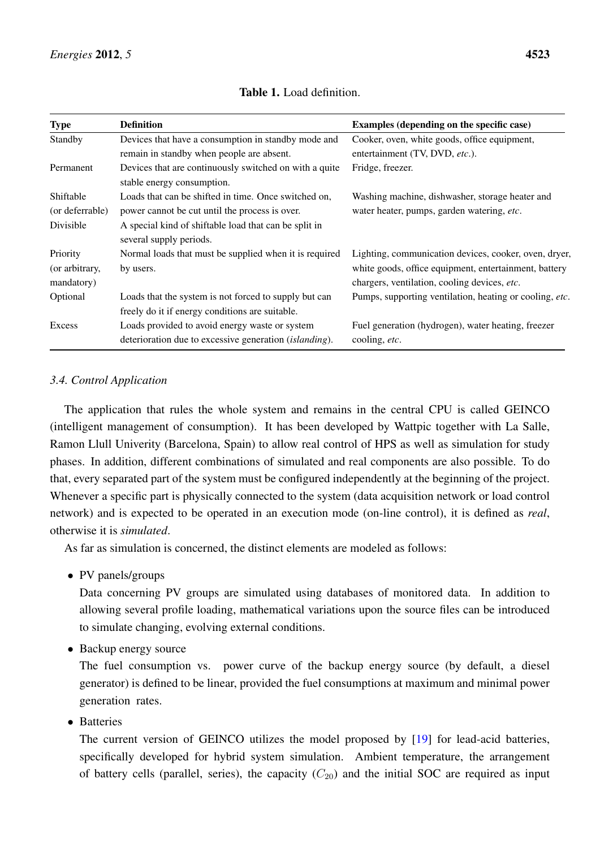<span id="page-6-0"></span>

| <b>Type</b>                  | <b>Definition</b>                                                                                                | Examples (depending on the specific case)                                                             |  |
|------------------------------|------------------------------------------------------------------------------------------------------------------|-------------------------------------------------------------------------------------------------------|--|
| Standby                      | Devices that have a consumption in standby mode and                                                              | Cooker, oven, white goods, office equipment,                                                          |  |
|                              | remain in standby when people are absent.                                                                        | entertainment (TV, DVD, etc.).                                                                        |  |
| Permanent                    | Devices that are continuously switched on with a quite<br>stable energy consumption.                             | Fridge, freezer.                                                                                      |  |
| Shiftable                    | Loads that can be shifted in time. Once switched on,                                                             | Washing machine, dishwasher, storage heater and                                                       |  |
| (or deferrable)              | power cannot be cut until the process is over.                                                                   | water heater, pumps, garden watering, etc.                                                            |  |
| Divisible                    | A special kind of shiftable load that can be split in<br>several supply periods.                                 |                                                                                                       |  |
| Priority                     | Normal loads that must be supplied when it is required                                                           | Lighting, communication devices, cooker, oven, dryer,                                                 |  |
| (or arbitrary,<br>mandatory) | by users.                                                                                                        | white goods, office equipment, entertainment, battery<br>chargers, ventilation, cooling devices, etc. |  |
| Optional                     | Loads that the system is not forced to supply but can<br>freely do it if energy conditions are suitable.         | Pumps, supporting ventilation, heating or cooling, etc.                                               |  |
| Excess                       | Loads provided to avoid energy waste or system<br>deterioration due to excessive generation <i>(islanding)</i> . | Fuel generation (hydrogen), water heating, freezer<br>cooling, etc.                                   |  |

## Table 1. Load definition.

## *3.4. Control Application*

The application that rules the whole system and remains in the central CPU is called GEINCO (intelligent management of consumption). It has been developed by Wattpic together with La Salle, Ramon Llull Univerity (Barcelona, Spain) to allow real control of HPS as well as simulation for study phases. In addition, different combinations of simulated and real components are also possible. To do that, every separated part of the system must be configured independently at the beginning of the project. Whenever a specific part is physically connected to the system (data acquisition network or load control network) and is expected to be operated in an execution mode (on-line control), it is defined as *real*, otherwise it is *simulated*.

As far as simulation is concerned, the distinct elements are modeled as follows:

• PV panels/groups

Data concerning PV groups are simulated using databases of monitored data. In addition to allowing several profile loading, mathematical variations upon the source files can be introduced to simulate changing, evolving external conditions.

• Backup energy source

The fuel consumption vs. power curve of the backup energy source (by default, a diesel generator) is defined to be linear, provided the fuel consumptions at maximum and minimal power generation rates.

• Batteries

The current version of GEINCO utilizes the model proposed by [\[19\]](#page-15-7) for lead-acid batteries, specifically developed for hybrid system simulation. Ambient temperature, the arrangement of battery cells (parallel, series), the capacity  $(C_{20})$  and the initial SOC are required as input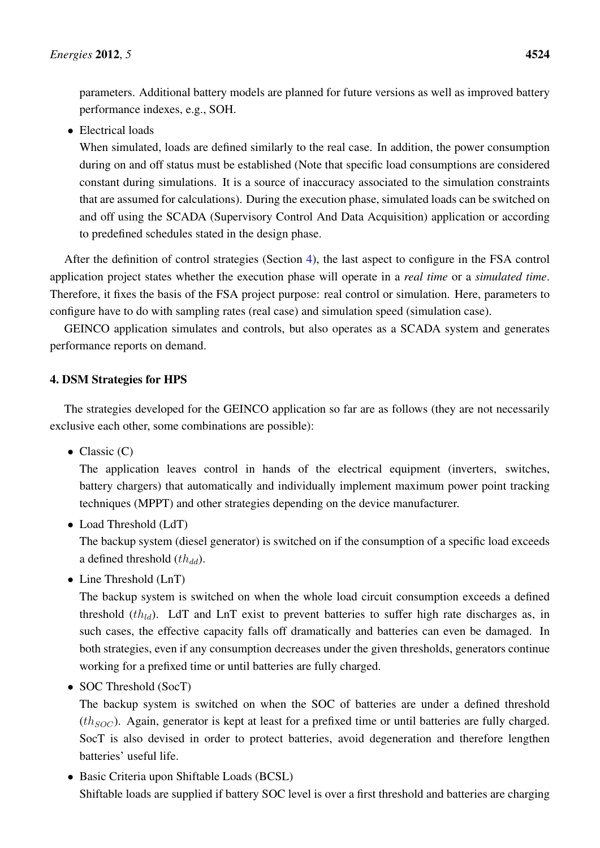parameters. Additional battery models are planned for future versions as well as improved battery performance indexes, e.g., SOH.

• Electrical loads

When simulated, loads are defined similarly to the real case. In addition, the power consumption during on and off status must be established (Note that specific load consumptions are considered constant during simulations. It is a source of inaccuracy associated to the simulation constraints that are assumed for calculations). During the execution phase, simulated loads can be switched on and off using the SCADA (Supervisory Control And Data Acquisition) application or according to predefined schedules stated in the design phase.

After the definition of control strategies (Section [4\)](#page-7-0), the last aspect to configure in the FSA control application project states whether the execution phase will operate in a *real time* or a *simulated time*. Therefore, it fixes the basis of the FSA project purpose: real control or simulation. Here, parameters to configure have to do with sampling rates (real case) and simulation speed (simulation case).

GEINCO application simulates and controls, but also operates as a SCADA system and generates performance reports on demand.

# <span id="page-7-0"></span>4. DSM Strategies for HPS

The strategies developed for the GEINCO application so far are as follows (they are not necessarily exclusive each other, some combinations are possible):

• Classic  $(C)$ 

The application leaves control in hands of the electrical equipment (inverters, switches, battery chargers) that automatically and individually implement maximum power point tracking techniques (MPPT) and other strategies depending on the device manufacturer.

• Load Threshold (LdT)

The backup system (diesel generator) is switched on if the consumption of a specific load exceeds a defined threshold  $(th_{dd})$ .

• Line Threshold (LnT)

The backup system is switched on when the whole load circuit consumption exceeds a defined threshold  $(th<sub>ld</sub>)$ . LdT and LnT exist to prevent batteries to suffer high rate discharges as, in such cases, the effective capacity falls off dramatically and batteries can even be damaged. In both strategies, even if any consumption decreases under the given thresholds, generators continue working for a prefixed time or until batteries are fully charged.

• SOC Threshold (SocT)

The backup system is switched on when the SOC of batteries are under a defined threshold  $(th<sub>SOC</sub>)$ . Again, generator is kept at least for a prefixed time or until batteries are fully charged. SocT is also devised in order to protect batteries, avoid degeneration and therefore lengthen batteries' useful life.

• Basic Criteria upon Shiftable Loads (BCSL) Shiftable loads are supplied if battery SOC level is over a first threshold and batteries are charging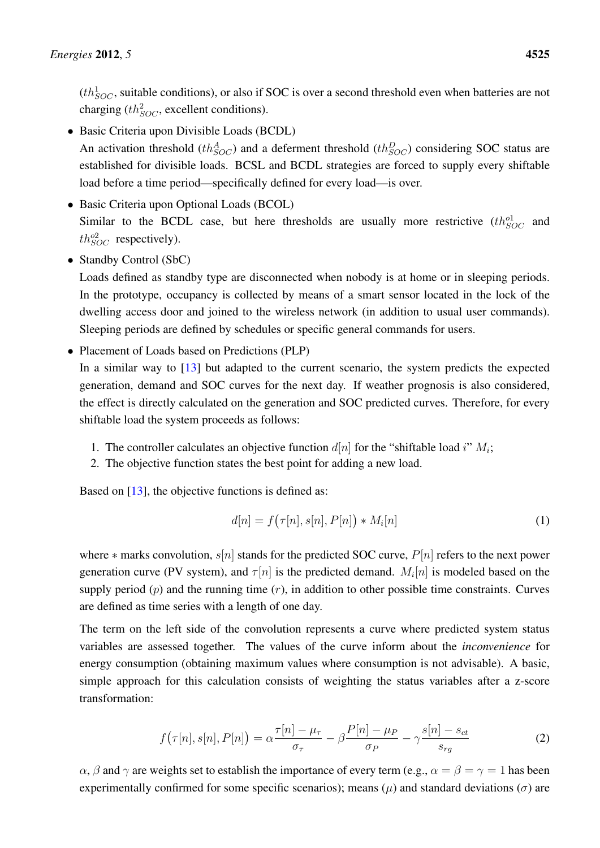$(th_{SOC}^1$ , suitable conditions), or also if SOC is over a second threshold even when batteries are not charging ( $th_{SOC}^2$ , excellent conditions).

- Basic Criteria upon Divisible Loads (BCDL) An activation threshold  $(th_{SOC}^A$  and a deferment threshold  $(th_{SOC}^D)$  considering SOC status are established for divisible loads. BCSL and BCDL strategies are forced to supply every shiftable load before a time period—specifically defined for every load—is over.
- Basic Criteria upon Optional Loads (BCOL) Similar to the BCDL case, but here thresholds are usually more restrictive  $(th_{SOC}^{01}$  and  $th_{SOC}^{o2}$  respectively).
- Standby Control (SbC)

Loads defined as standby type are disconnected when nobody is at home or in sleeping periods. In the prototype, occupancy is collected by means of a smart sensor located in the lock of the dwelling access door and joined to the wireless network (in addition to usual user commands). Sleeping periods are defined by schedules or specific general commands for users.

• Placement of Loads based on Predictions (PLP)

In a similar way to [\[13\]](#page-15-1) but adapted to the current scenario, the system predicts the expected generation, demand and SOC curves for the next day. If weather prognosis is also considered, the effect is directly calculated on the generation and SOC predicted curves. Therefore, for every shiftable load the system proceeds as follows:

- 1. The controller calculates an objective function  $d[n]$  for the "shiftable load i"  $M_i$ ;
- 2. The objective function states the best point for adding a new load.

Based on [\[13\]](#page-15-1), the objective functions is defined as:

<span id="page-8-0"></span>
$$
d[n] = f(\tau[n], s[n], P[n]) * M_i[n]
$$
 (1)

where  $*$  marks convolution,  $s[n]$  stands for the predicted SOC curve,  $P[n]$  refers to the next power generation curve (PV system), and  $\tau[n]$  is the predicted demand.  $M_i[n]$  is modeled based on the supply period  $(p)$  and the running time  $(r)$ , in addition to other possible time constraints. Curves are defined as time series with a length of one day.

The term on the left side of the convolution represents a curve where predicted system status variables are assessed together. The values of the curve inform about the *inconvenience* for energy consumption (obtaining maximum values where consumption is not advisable). A basic, simple approach for this calculation consists of weighting the status variables after a z-score transformation:

$$
f(\tau[n], s[n], P[n]) = \alpha \frac{\tau[n] - \mu_{\tau}}{\sigma_{\tau}} - \beta \frac{P[n] - \mu_{P}}{\sigma_{P}} - \gamma \frac{s[n] - s_{ct}}{s_{rg}} \tag{2}
$$

 $\alpha$ ,  $\beta$  and  $\gamma$  are weights set to establish the importance of every term (e.g.,  $\alpha = \beta = \gamma = 1$  has been experimentally confirmed for some specific scenarios); means  $(\mu)$  and standard deviations ( $\sigma$ ) are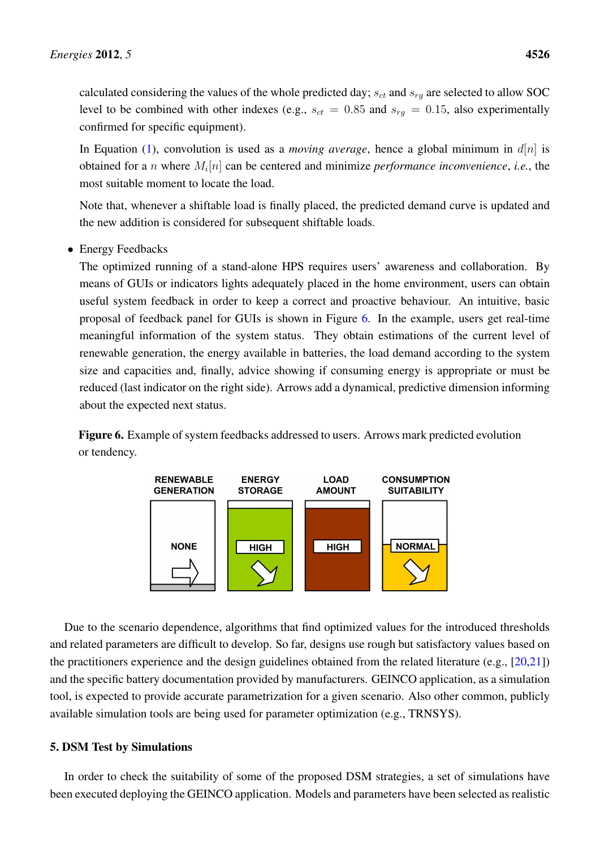calculated considering the values of the whole predicted day;  $s_{ct}$  and  $s_{rg}$  are selected to allow SOC level to be combined with other indexes (e.g.,  $s_{ct} = 0.85$  and  $s_{rq} = 0.15$ , also experimentally confirmed for specific equipment).

In Equation [\(1\)](#page-8-0), convolution is used as a *moving average*, hence a global minimum in  $d[n]$  is obtained for a *n* where  $M_i[n]$  can be centered and minimize *performance inconvenience*, *i.e.*, the most suitable moment to locate the load.

Note that, whenever a shiftable load is finally placed, the predicted demand curve is updated and the new addition is considered for subsequent shiftable loads.

• Energy Feedbacks

The optimized running of a stand-alone HPS requires users' awareness and collaboration. By means of GUIs or indicators lights adequately placed in the home environment, users can obtain useful system feedback in order to keep a correct and proactive behaviour. An intuitive, basic proposal of feedback panel for GUIs is shown in Figure [6.](#page-9-0) In the example, users get real-time meaningful information of the system status. They obtain estimations of the current level of renewable generation, the energy available in batteries, the load demand according to the system size and capacities and, finally, advice showing if consuming energy is appropriate or must be reduced (last indicator on the right side). Arrows add a dynamical, predictive dimension informing about the expected next status.

<span id="page-9-0"></span>Figure 6. Example of system feedbacks addressed to users. Arrows mark predicted evolution or tendency.



Due to the scenario dependence, algorithms that find optimized values for the introduced thresholds and related parameters are difficult to develop. So far, designs use rough but satisfactory values based on the practitioners experience and the design guidelines obtained from the related literature (e.g., [\[20,](#page-15-8)[21\]](#page-15-9)) and the specific battery documentation provided by manufacturers. GEINCO application, as a simulation tool, is expected to provide accurate parametrization for a given scenario. Also other common, publicly available simulation tools are being used for parameter optimization (e.g., TRNSYS).

## 5. DSM Test by Simulations

In order to check the suitability of some of the proposed DSM strategies, a set of simulations have been executed deploying the GEINCO application. Models and parameters have been selected as realistic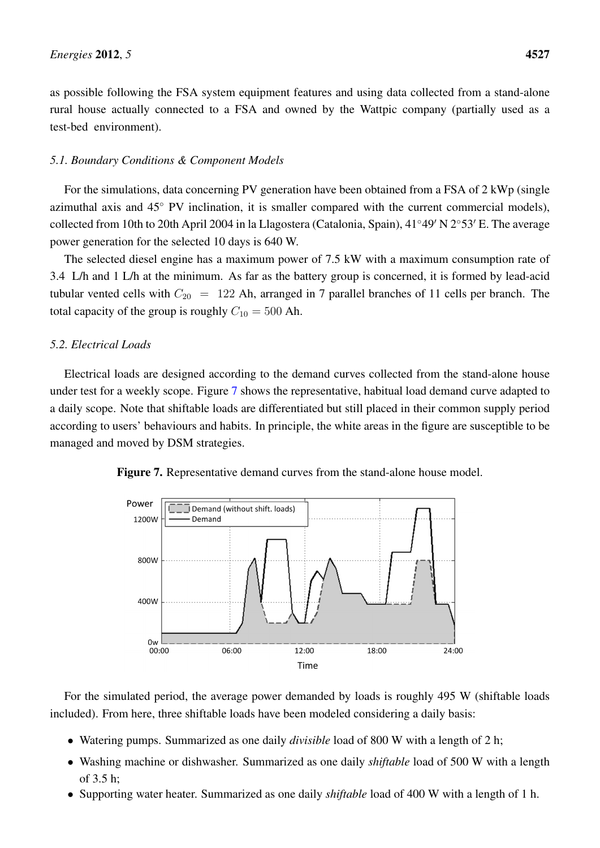as possible following the FSA system equipment features and using data collected from a stand-alone rural house actually connected to a FSA and owned by the Wattpic company (partially used as a test-bed environment).

## *5.1. Boundary Conditions & Component Models*

For the simulations, data concerning PV generation have been obtained from a FSA of 2 kWp (single azimuthal axis and 45◦ PV inclination, it is smaller compared with the current commercial models), collected from 10th to 20th April 2004 in la Llagostera (Catalonia, Spain),  $41°49'$  N  $2°53'$  E. The average power generation for the selected 10 days is 640 W.

The selected diesel engine has a maximum power of 7.5 kW with a maximum consumption rate of 3.4 L/h and 1 L/h at the minimum. As far as the battery group is concerned, it is formed by lead-acid tubular vented cells with  $C_{20}$  = 122 Ah, arranged in 7 parallel branches of 11 cells per branch. The total capacity of the group is roughly  $C_{10} = 500$  Ah.

## *5.2. Electrical Loads*

Electrical loads are designed according to the demand curves collected from the stand-alone house under test for a weekly scope. Figure [7](#page-10-0) shows the representative, habitual load demand curve adapted to a daily scope. Note that shiftable loads are differentiated but still placed in their common supply period according to users' behaviours and habits. In principle, the white areas in the figure are susceptible to be managed and moved by DSM strategies.

<span id="page-10-0"></span>



For the simulated period, the average power demanded by loads is roughly 495 W (shiftable loads included). From here, three shiftable loads have been modeled considering a daily basis:

- Watering pumps. Summarized as one daily *divisible* load of 800 W with a length of 2 h;
- Washing machine or dishwasher. Summarized as one daily *shiftable* load of 500 W with a length of 3.5 h;
- Supporting water heater. Summarized as one daily *shiftable* load of 400 W with a length of 1 h.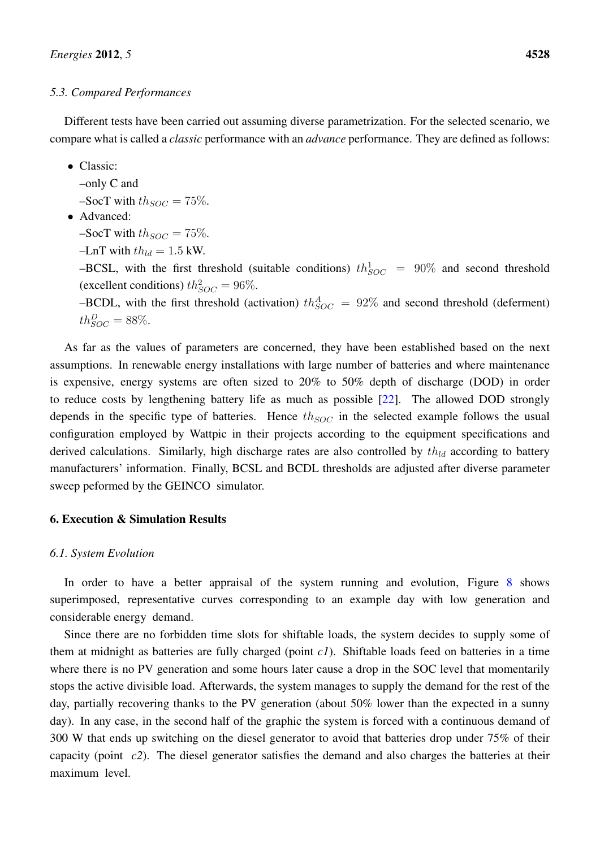### *5.3. Compared Performances*

Different tests have been carried out assuming diverse parametrization. For the selected scenario, we compare what is called a *classic* performance with an *advance* performance. They are defined as follows:

- Classic:
	- –only C and
	- $-$ SocT with  $th_{SOC} = 75\%$ .
- Advanced:
	- $-$ SocT with  $th_{SOC} = 75\%$ .
	- $-LnT$  with  $th<sub>ld</sub> = 1.5$  kW.

–BCSL, with the first threshold (suitable conditions)  $th_{SOC}^1 = 90\%$  and second threshold (excellent conditions)  $th_{SOC}^2 = 96\%$ .

-BCDL, with the first threshold (activation)  $th_{SOC}^{A} = 92\%$  and second threshold (deferment)  $th_{SOC}^{D} = 88\%.$ 

As far as the values of parameters are concerned, they have been established based on the next assumptions. In renewable energy installations with large number of batteries and where maintenance is expensive, energy systems are often sized to 20% to 50% depth of discharge (DOD) in order to reduce costs by lengthening battery life as much as possible [\[22\]](#page-15-10). The allowed DOD strongly depends in the specific type of batteries. Hence  $th_{SOC}$  in the selected example follows the usual configuration employed by Wattpic in their projects according to the equipment specifications and derived calculations. Similarly, high discharge rates are also controlled by  $th_{ld}$  according to battery manufacturers' information. Finally, BCSL and BCDL thresholds are adjusted after diverse parameter sweep peformed by the GEINCO simulator.

## 6. Execution & Simulation Results

#### *6.1. System Evolution*

In order to have a better appraisal of the system running and evolution, Figure [8](#page-12-0) shows superimposed, representative curves corresponding to an example day with low generation and considerable energy demand.

Since there are no forbidden time slots for shiftable loads, the system decides to supply some of them at midnight as batteries are fully charged (point *c1*). Shiftable loads feed on batteries in a time where there is no PV generation and some hours later cause a drop in the SOC level that momentarily stops the active divisible load. Afterwards, the system manages to supply the demand for the rest of the day, partially recovering thanks to the PV generation (about 50% lower than the expected in a sunny day). In any case, in the second half of the graphic the system is forced with a continuous demand of 300 W that ends up switching on the diesel generator to avoid that batteries drop under 75% of their capacity (point *c2*). The diesel generator satisfies the demand and also charges the batteries at their maximum level.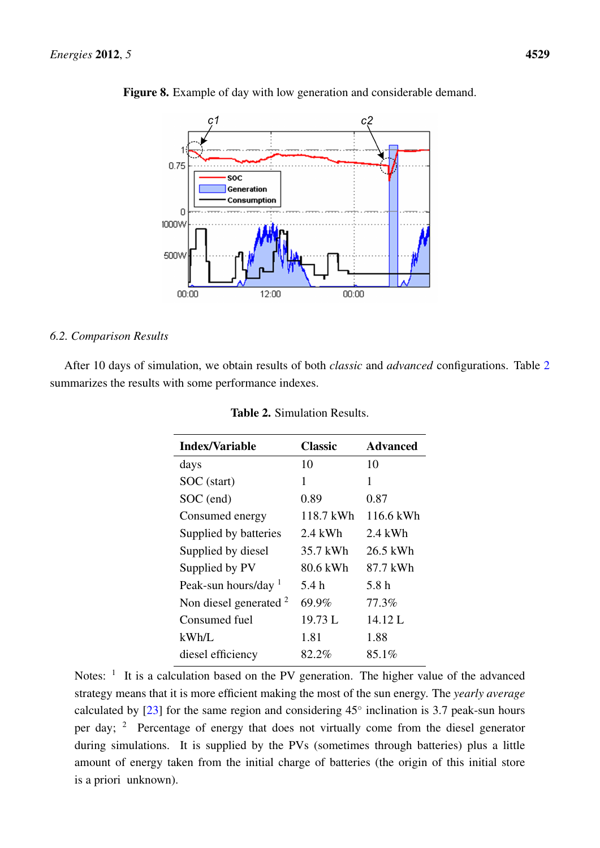

<span id="page-12-0"></span>Figure 8. Example of day with low generation and considerable demand.

## *6.2. Comparison Results*

<span id="page-12-1"></span>After 10 days of simulation, we obtain results of both *classic* and *advanced* configurations. Table [2](#page-12-1) summarizes the results with some performance indexes.

| <b>Index/Variable</b>    | Classic   | <b>Advanced</b> |
|--------------------------|-----------|-----------------|
| days                     | 10        | 10              |
| SOC (start)              | 1         | 1               |
| SOC (end)                | 0.89      | 0.87            |
| Consumed energy          | 118.7 kWh | 116.6 kWh       |
| Supplied by batteries    | $2.4$ kWh | $2.4$ kWh       |
| Supplied by diesel       | 35.7 kWh  | 26.5 kWh        |
| Supplied by PV           | 80.6 kWh  | 87.7 kWh        |
| Peak-sun hours/day $1$   | 5.4 h     | 5.8 h           |
| Non diesel generated $2$ | 69.9%     | 77.3%           |
| Consumed fuel            | 19.73L    | 14.12 L         |
| kWh/L                    | 1.81      | 1.88            |
| diesel efficiency        | 82.2%     | 85.1%           |

|  | <b>Table 2. Simulation Results.</b> |  |
|--|-------------------------------------|--|
|--|-------------------------------------|--|

Notes:  $\frac{1}{1}$  It is a calculation based on the PV generation. The higher value of the advanced strategy means that it is more efficient making the most of the sun energy. The *yearly average* calculated by  $[23]$  for the same region and considering  $45^\circ$  inclination is 3.7 peak-sun hours per day; <sup>2</sup> Percentage of energy that does not virtually come from the diesel generator during simulations. It is supplied by the PVs (sometimes through batteries) plus a little amount of energy taken from the initial charge of batteries (the origin of this initial store is a priori unknown).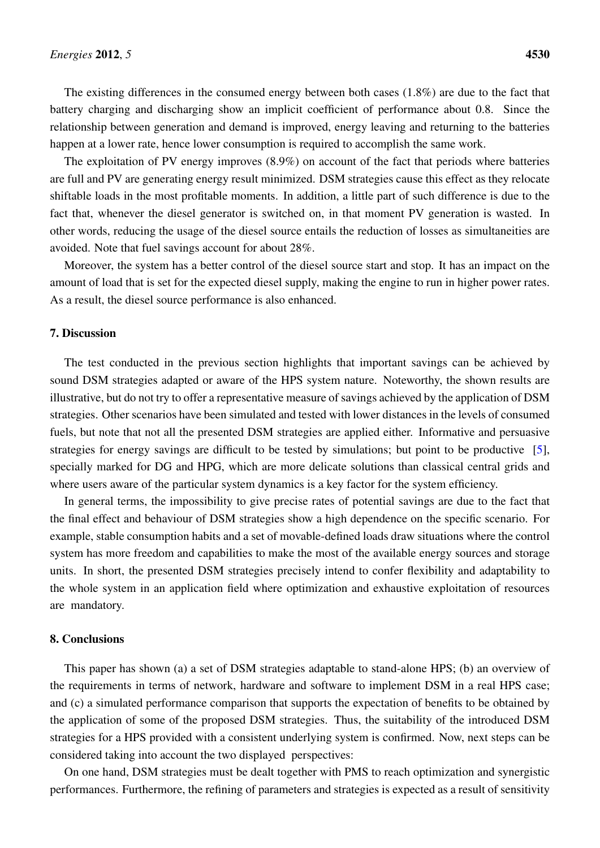The existing differences in the consumed energy between both cases  $(1.8\%)$  are due to the fact that battery charging and discharging show an implicit coefficient of performance about 0.8. Since the relationship between generation and demand is improved, energy leaving and returning to the batteries happen at a lower rate, hence lower consumption is required to accomplish the same work.

The exploitation of PV energy improves (8.9%) on account of the fact that periods where batteries are full and PV are generating energy result minimized. DSM strategies cause this effect as they relocate shiftable loads in the most profitable moments. In addition, a little part of such difference is due to the fact that, whenever the diesel generator is switched on, in that moment PV generation is wasted. In other words, reducing the usage of the diesel source entails the reduction of losses as simultaneities are avoided. Note that fuel savings account for about 28%.

Moreover, the system has a better control of the diesel source start and stop. It has an impact on the amount of load that is set for the expected diesel supply, making the engine to run in higher power rates. As a result, the diesel source performance is also enhanced.

## 7. Discussion

The test conducted in the previous section highlights that important savings can be achieved by sound DSM strategies adapted or aware of the HPS system nature. Noteworthy, the shown results are illustrative, but do not try to offer a representative measure of savings achieved by the application of DSM strategies. Other scenarios have been simulated and tested with lower distances in the levels of consumed fuels, but note that not all the presented DSM strategies are applied either. Informative and persuasive strategies for energy savings are difficult to be tested by simulations; but point to be productive [\[5\]](#page-14-4), specially marked for DG and HPG, which are more delicate solutions than classical central grids and where users aware of the particular system dynamics is a key factor for the system efficiency.

In general terms, the impossibility to give precise rates of potential savings are due to the fact that the final effect and behaviour of DSM strategies show a high dependence on the specific scenario. For example, stable consumption habits and a set of movable-defined loads draw situations where the control system has more freedom and capabilities to make the most of the available energy sources and storage units. In short, the presented DSM strategies precisely intend to confer flexibility and adaptability to the whole system in an application field where optimization and exhaustive exploitation of resources are mandatory.

### 8. Conclusions

This paper has shown (a) a set of DSM strategies adaptable to stand-alone HPS; (b) an overview of the requirements in terms of network, hardware and software to implement DSM in a real HPS case; and (c) a simulated performance comparison that supports the expectation of benefits to be obtained by the application of some of the proposed DSM strategies. Thus, the suitability of the introduced DSM strategies for a HPS provided with a consistent underlying system is confirmed. Now, next steps can be considered taking into account the two displayed perspectives:

On one hand, DSM strategies must be dealt together with PMS to reach optimization and synergistic performances. Furthermore, the refining of parameters and strategies is expected as a result of sensitivity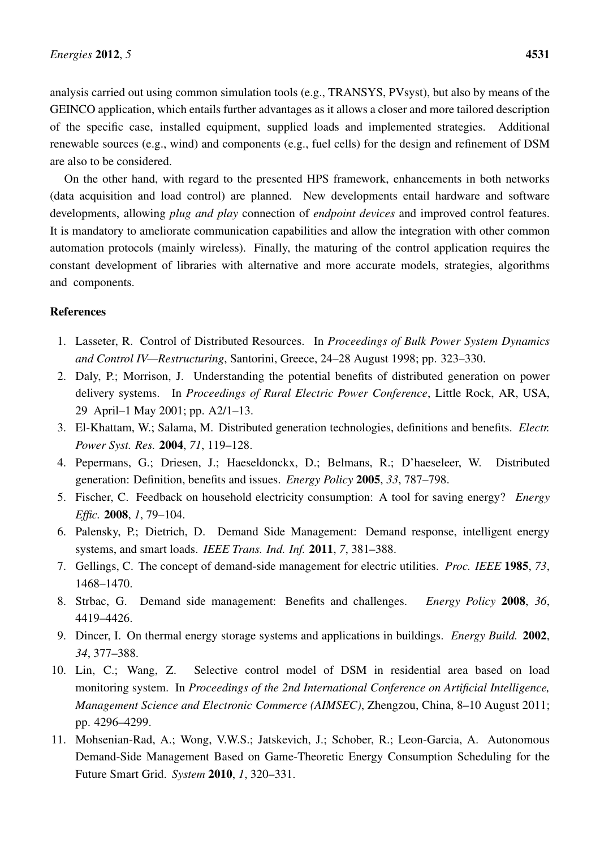analysis carried out using common simulation tools (e.g., TRANSYS, PVsyst), but also by means of the GEINCO application, which entails further advantages as it allows a closer and more tailored description of the specific case, installed equipment, supplied loads and implemented strategies. Additional renewable sources (e.g., wind) and components (e.g., fuel cells) for the design and refinement of DSM are also to be considered.

On the other hand, with regard to the presented HPS framework, enhancements in both networks (data acquisition and load control) are planned. New developments entail hardware and software developments, allowing *plug and play* connection of *endpoint devices* and improved control features. It is mandatory to ameliorate communication capabilities and allow the integration with other common automation protocols (mainly wireless). Finally, the maturing of the control application requires the constant development of libraries with alternative and more accurate models, strategies, algorithms and components.

## References

- <span id="page-14-0"></span>1. Lasseter, R. Control of Distributed Resources. In *Proceedings of Bulk Power System Dynamics and Control IV—Restructuring*, Santorini, Greece, 24–28 August 1998; pp. 323–330.
- <span id="page-14-1"></span>2. Daly, P.; Morrison, J. Understanding the potential benefits of distributed generation on power delivery systems. In *Proceedings of Rural Electric Power Conference*, Little Rock, AR, USA, 29 April–1 May 2001; pp. A2/1–13.
- <span id="page-14-2"></span>3. El-Khattam, W.; Salama, M. Distributed generation technologies, definitions and benefits. *Electr. Power Syst. Res.* 2004, *71*, 119–128.
- <span id="page-14-3"></span>4. Pepermans, G.; Driesen, J.; Haeseldonckx, D.; Belmans, R.; D'haeseleer, W. Distributed generation: Definition, benefits and issues. *Energy Policy* 2005, *33*, 787–798.
- <span id="page-14-4"></span>5. Fischer, C. Feedback on household electricity consumption: A tool for saving energy? *Energy Effic.* 2008, *1*, 79–104.
- <span id="page-14-5"></span>6. Palensky, P.; Dietrich, D. Demand Side Management: Demand response, intelligent energy systems, and smart loads. *IEEE Trans. Ind. Inf.* 2011, *7*, 381–388.
- <span id="page-14-6"></span>7. Gellings, C. The concept of demand-side management for electric utilities. *Proc. IEEE* 1985, *73*, 1468–1470.
- <span id="page-14-7"></span>8. Strbac, G. Demand side management: Benefits and challenges. *Energy Policy* 2008, *36*, 4419–4426.
- <span id="page-14-8"></span>9. Dincer, I. On thermal energy storage systems and applications in buildings. *Energy Build.* 2002, *34*, 377–388.
- <span id="page-14-9"></span>10. Lin, C.; Wang, Z. Selective control model of DSM in residential area based on load monitoring system. In *Proceedings of the 2nd International Conference on Artificial Intelligence, Management Science and Electronic Commerce (AIMSEC)*, Zhengzou, China, 8–10 August 2011; pp. 4296–4299.
- <span id="page-14-10"></span>11. Mohsenian-Rad, A.; Wong, V.W.S.; Jatskevich, J.; Schober, R.; Leon-Garcia, A. Autonomous Demand-Side Management Based on Game-Theoretic Energy Consumption Scheduling for the Future Smart Grid. *System* 2010, *1*, 320–331.